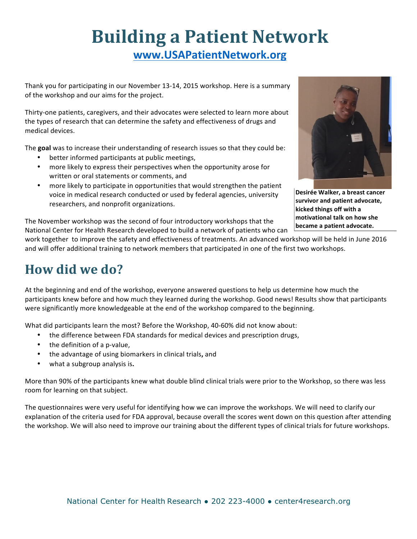# **Building a Patient Network www.USAPatientNetwork.org**

Thank you for participating in our November 13-14, 2015 workshop. Here is a summary of the workshop and our aims for the project.

Thirty-one patients, caregivers, and their advocates were selected to learn more about the types of research that can determine the safety and effectiveness of drugs and medical devices. 

The goal was to increase their understanding of research issues so that they could be:

- better informed participants at public meetings,
- more likely to express their perspectives when the opportunity arose for written or oral statements or comments, and
- more likely to participate in opportunities that would strengthen the patient voice in medical research conducted or used by federal agencies, university researchers, and nonprofit organizations.



**Desirée Walker, a breast cancer** survivor and patient advocate, **kicked things off with a motivational talk on how she became a patient advocate.** 

The November workshop was the second of four introductory workshops that the National Center for Health Research developed to build a network of patients who can

work together to improve the safety and effectiveness of treatments. An advanced workshop will be held in June 2016 and will offer additional training to network members that participated in one of the first two workshops.

## **How did we do?**

At the beginning and end of the workshop, everyone answered questions to help us determine how much the participants knew before and how much they learned during the workshop. Good news! Results show that participants were significantly more knowledgeable at the end of the workshop compared to the beginning.

What did participants learn the most? Before the Workshop, 40-60% did not know about:

- the difference between FDA standards for medical devices and prescription drugs,
- the definition of a p-value,
- the advantage of using biomarkers in clinical trials**,** and
- what a subgroup analysis is.

More than 90% of the participants knew what double blind clinical trials were prior to the Workshop, so there was less room for learning on that subject.

The questionnaires were very useful for identifying how we can improve the workshops. We will need to clarify our explanation of the criteria used for FDA approval, because overall the scores went down on this question after attending the workshop. We will also need to improve our training about the different types of clinical trials for future workshops.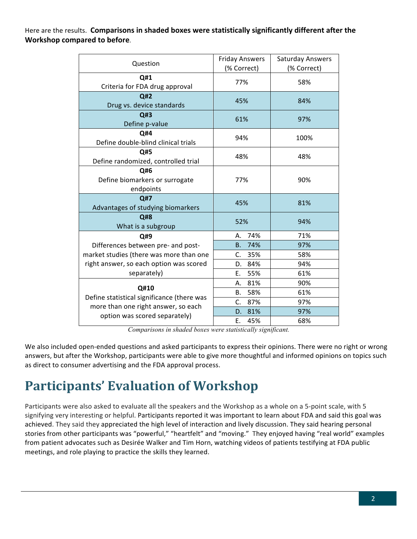Here are the results. Comparisons in shaded boxes were statistically significantly different after the **Workshop compared to before.** 

| Question                                           | <b>Friday Answers</b><br>(% Correct) | <b>Saturday Answers</b><br>(% Correct) |  |
|----------------------------------------------------|--------------------------------------|----------------------------------------|--|
| Q#1                                                |                                      |                                        |  |
| Criteria for FDA drug approval                     | 77%                                  | 58%                                    |  |
| Q#2                                                | 45%                                  | 84%                                    |  |
| Drug vs. device standards                          |                                      |                                        |  |
| Q#3                                                | 61%                                  | 97%                                    |  |
| Define p-value                                     |                                      |                                        |  |
| Q#4                                                | 94%                                  | 100%                                   |  |
| Define double-blind clinical trials                |                                      |                                        |  |
| Q#5                                                | 48%                                  | 48%                                    |  |
| Define randomized, controlled trial                |                                      |                                        |  |
| Q#6                                                |                                      | 90%                                    |  |
| Define biomarkers or surrogate                     | 77%                                  |                                        |  |
| endpoints                                          |                                      |                                        |  |
| Q#7                                                | 45%                                  | 81%                                    |  |
| Advantages of studying biomarkers                  |                                      |                                        |  |
| Q#8                                                | 52%                                  | 94%                                    |  |
| What is a subgroup                                 |                                      |                                        |  |
| Q#9                                                | 74%<br>А.                            | 71%                                    |  |
| Differences between pre- and post-                 | 74%<br><b>B.</b>                     | 97%                                    |  |
| market studies (there was more than one            | 35%<br>C.                            | 58%                                    |  |
| right answer, so each option was scored            | 84%<br>D.                            | 94%                                    |  |
| separately)                                        | Ε.<br>55%                            | 61%                                    |  |
| Q#10<br>Define statistical significance (there was | 81%<br>А.                            | 90%                                    |  |
|                                                    | 58%<br>В.                            | 61%                                    |  |
| more than one right answer, so each                | C.<br>87%                            | 97%                                    |  |
| option was scored separately)                      | 81%<br>D.                            | 97%                                    |  |
|                                                    | Ε.<br>45%                            | 68%                                    |  |

*Comparisons in shaded boxes were statistically significant.*

We also included open-ended questions and asked participants to express their opinions. There were no right or wrong answers, but after the Workshop, participants were able to give more thoughtful and informed opinions on topics such as direct to consumer advertising and the FDA approval process.

## **Participants' Evaluation of Workshop**

Participants were also asked to evaluate all the speakers and the Workshop as a whole on a 5-point scale, with 5 signifying very interesting or helpful. Participants reported it was important to learn about FDA and said this goal was achieved. They said they appreciated the high level of interaction and lively discussion. They said hearing personal stories from other participants was "powerful," "heartfelt" and "moving." They enjoyed having "real world" examples from patient advocates such as Desirée Walker and Tim Horn, watching videos of patients testifying at FDA public meetings, and role playing to practice the skills they learned.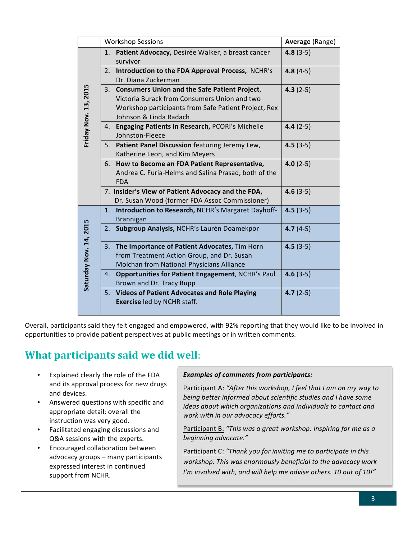|                        | <b>Workshop Sessions</b> |                                                                                                                                                                                    | Average (Range) |
|------------------------|--------------------------|------------------------------------------------------------------------------------------------------------------------------------------------------------------------------------|-----------------|
| Friday Nov. 13, 2015   | 1.                       | Patient Advocacy, Desirée Walker, a breast cancer<br>survivor                                                                                                                      | $4.8(3-5)$      |
|                        | 2.                       | Introduction to the FDA Approval Process, NCHR's<br>Dr. Diana Zuckerman                                                                                                            | $4.8(4-5)$      |
|                        |                          | 3. Consumers Union and the Safe Patient Project,<br>Victoria Burack from Consumers Union and two<br>Workshop participants from Safe Patient Project, Rex<br>Johnson & Linda Radach | $4.3(2-5)$      |
|                        | 4.                       | Engaging Patients in Research, PCORI's Michelle<br>Johnston-Fleece                                                                                                                 | $4.4(2-5)$      |
|                        | 5.                       | Patient Panel Discussion featuring Jeremy Lew,<br>Katherine Leon, and Kim Meyers                                                                                                   | $4.5(3-5)$      |
|                        | 6.                       | How to Become an FDA Patient Representative,<br>Andrea C. Furia-Helms and Salina Prasad, both of the<br><b>FDA</b>                                                                 | $4.0(2-5)$      |
|                        |                          | 7. Insider's View of Patient Advocacy and the FDA,<br>Dr. Susan Wood (former FDA Assoc Commissioner)                                                                               | $4.6(3-5)$      |
| Saturday Nov. 14, 2015 | 1.                       | Introduction to Research, NCHR's Margaret Dayhoff-<br><b>Brannigan</b>                                                                                                             | $4.5(3-5)$      |
|                        | 2.                       | Subgroup Analysis, NCHR's Laurén Doamekpor                                                                                                                                         | $4.7(4-5)$      |
|                        | 3.                       | The Importance of Patient Advocates, Tim Horn<br>from Treatment Action Group, and Dr. Susan<br>Molchan from National Physicians Alliance                                           | $4.5(3-5)$      |
|                        | 4.                       | <b>Opportunities for Patient Engagement, NCHR's Paul</b><br>Brown and Dr. Tracy Rupp                                                                                               | $4.6(3-5)$      |
|                        | 5.                       | <b>Videos of Patient Advocates and Role Playing</b><br><b>Exercise led by NCHR staff.</b>                                                                                          | $4.7(2-5)$      |

Overall, participants said they felt engaged and empowered, with 92% reporting that they would like to be involved in opportunities to provide patient perspectives at public meetings or in written comments.

## **What participants said we did well:**

- Explained clearly the role of the FDA and its approval process for new drugs and devices.
- Answered questions with specific and appropriate detail; overall the instruction was very good.
- Facilitated engaging discussions and Q&A sessions with the experts.
- Encouraged collaboration between advocacy groups - many participants expressed interest in continued support from NCHR.

#### **Examples of comments from participants:**

Participant A: "After this workshop, I feel that I am on my way to *being better informed about scientific studies and I have some ideas about which organizations and individuals to contact and work with in our advocacy efforts."*

Participant B: "This was a great workshop: Inspiring for me as a *beginning advocate."*

Participant C: "Thank you for inviting me to participate in this workshop. This was enormously beneficial to the advocacy work I'm involved with, and will help me advise others. 10 out of 10!"